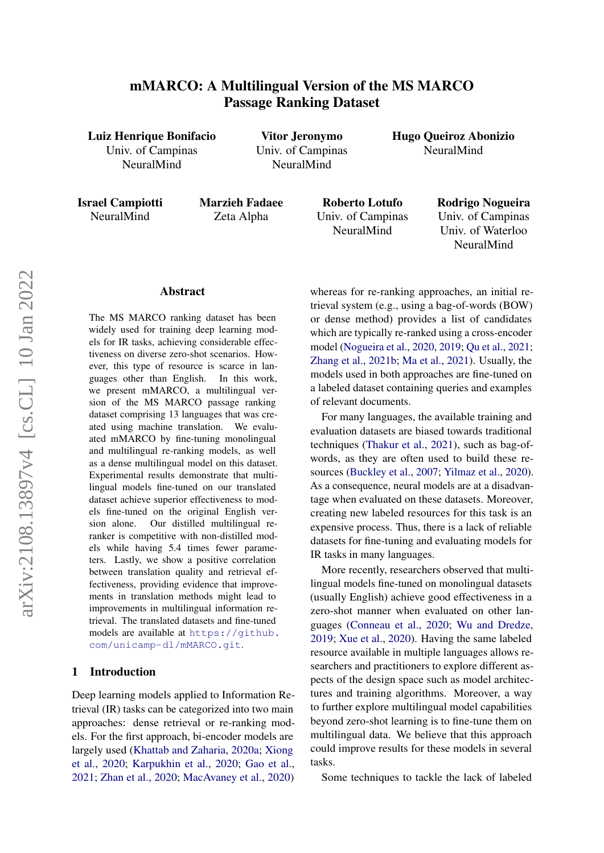# mMARCO: A Multilingual Version of the MS MARCO Passage Ranking Dataset

Luiz Henrique Bonifacio Univ. of Campinas

NeuralMind

Vitor Jeronymo Univ. of Campinas NeuralMind

Hugo Queiroz Abonizio NeuralMind

Israel Campiotti NeuralMind

Marzieh Fadaee Zeta Alpha

Roberto Lotufo Univ. of Campinas NeuralMind

Rodrigo Nogueira Univ. of Campinas Univ. of Waterloo NeuralMind

#### Abstract

The MS MARCO ranking dataset has been widely used for training deep learning models for IR tasks, achieving considerable effectiveness on diverse zero-shot scenarios. However, this type of resource is scarce in languages other than English. In this work, we present mMARCO, a multilingual version of the MS MARCO passage ranking dataset comprising 13 languages that was created using machine translation. We evaluated mMARCO by fine-tuning monolingual and multilingual re-ranking models, as well as a dense multilingual model on this dataset. Experimental results demonstrate that multilingual models fine-tuned on our translated dataset achieve superior effectiveness to models fine-tuned on the original English version alone. Our distilled multilingual reranker is competitive with non-distilled models while having 5.4 times fewer parameters. Lastly, we show a positive correlation between translation quality and retrieval effectiveness, providing evidence that improvements in translation methods might lead to improvements in multilingual information retrieval. The translated datasets and fine-tuned models are available at [https://github.](https://github.com/unicamp-dl/mMARCO.git) [com/unicamp-dl/mMARCO.git](https://github.com/unicamp-dl/mMARCO.git).

## 1 Introduction

Deep learning models applied to Information Retrieval (IR) tasks can be categorized into two main approaches: dense retrieval or re-ranking models. For the first approach, bi-encoder models are largely used [\(Khattab and Zaharia,](#page-8-0) [2020a;](#page-8-0) [Xiong](#page-9-0) [et al.,](#page-9-0) [2020;](#page-9-0) [Karpukhin et al.,](#page-7-0) [2020;](#page-7-0) [Gao et al.,](#page-7-1) [2021;](#page-7-1) [Zhan et al.,](#page-9-1) [2020;](#page-9-1) [MacAvaney et al.,](#page-8-1) [2020\)](#page-8-1)

whereas for re-ranking approaches, an initial retrieval system (e.g., using a bag-of-words (BOW) or dense method) provides a list of candidates which are typically re-ranked using a cross-encoder model [\(Nogueira et al.,](#page-8-2) [2020,](#page-8-2) [2019;](#page-8-3) [Qu et al.,](#page-8-4) [2021;](#page-8-4) [Zhang et al.,](#page-9-2) [2021b;](#page-9-2) [Ma et al.,](#page-8-5) [2021\)](#page-8-5). Usually, the models used in both approaches are fine-tuned on a labeled dataset containing queries and examples of relevant documents.

For many languages, the available training and evaluation datasets are biased towards traditional techniques [\(Thakur et al.,](#page-8-6) [2021\)](#page-8-6), such as bag-ofwords, as they are often used to build these resources [\(Buckley et al.,](#page-7-2) [2007;](#page-7-2) [Yilmaz et al.,](#page-9-3) [2020\)](#page-9-3). As a consequence, neural models are at a disadvantage when evaluated on these datasets. Moreover, creating new labeled resources for this task is an expensive process. Thus, there is a lack of reliable datasets for fine-tuning and evaluating models for IR tasks in many languages.

More recently, researchers observed that multilingual models fine-tuned on monolingual datasets (usually English) achieve good effectiveness in a zero-shot manner when evaluated on other languages [\(Conneau et al.,](#page-7-3) [2020;](#page-7-3) [Wu and Dredze,](#page-9-4) [2019;](#page-9-4) [Xue et al.,](#page-9-5) [2020\)](#page-9-5). Having the same labeled resource available in multiple languages allows researchers and practitioners to explore different aspects of the design space such as model architectures and training algorithms. Moreover, a way to further explore multilingual model capabilities beyond zero-shot learning is to fine-tune them on multilingual data. We believe that this approach could improve results for these models in several tasks.

Some techniques to tackle the lack of labeled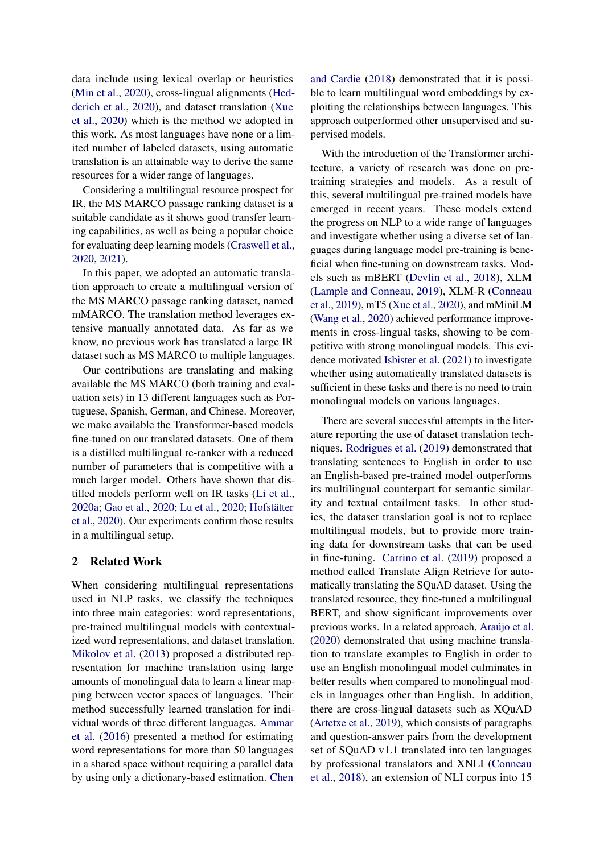data include using lexical overlap or heuristics [\(Min et al.,](#page-8-7) [2020\)](#page-8-7), cross-lingual alignments [\(Hed](#page-7-4)[derich et al.,](#page-7-4) [2020\)](#page-7-4), and dataset translation [\(Xue](#page-9-5) [et al.,](#page-9-5) [2020\)](#page-9-5) which is the method we adopted in this work. As most languages have none or a limited number of labeled datasets, using automatic translation is an attainable way to derive the same resources for a wider range of languages.

Considering a multilingual resource prospect for IR, the MS MARCO passage ranking dataset is a suitable candidate as it shows good transfer learning capabilities, as well as being a popular choice for evaluating deep learning models [\(Craswell et al.,](#page-7-5) [2020,](#page-7-5) [2021\)](#page-7-6).

In this paper, we adopted an automatic translation approach to create a multilingual version of the MS MARCO passage ranking dataset, named mMARCO. The translation method leverages extensive manually annotated data. As far as we know, no previous work has translated a large IR dataset such as MS MARCO to multiple languages.

Our contributions are translating and making available the MS MARCO (both training and evaluation sets) in 13 different languages such as Portuguese, Spanish, German, and Chinese. Moreover, we make available the Transformer-based models fine-tuned on our translated datasets. One of them is a distilled multilingual re-ranker with a reduced number of parameters that is competitive with a much larger model. Others have shown that distilled models perform well on IR tasks [\(Li et al.,](#page-8-8) [2020a;](#page-8-8) [Gao et al.,](#page-7-7) [2020;](#page-7-7) [Lu et al.,](#page-8-9) [2020;](#page-8-9) [Hofstätter](#page-7-8) [et al.,](#page-7-8) [2020\)](#page-7-8). Our experiments confirm those results in a multilingual setup.

### 2 Related Work

When considering multilingual representations used in NLP tasks, we classify the techniques into three main categories: word representations, pre-trained multilingual models with contextualized word representations, and dataset translation. [Mikolov et al.](#page-8-10) [\(2013\)](#page-8-10) proposed a distributed representation for machine translation using large amounts of monolingual data to learn a linear mapping between vector spaces of languages. Their method successfully learned translation for individual words of three different languages. [Ammar](#page-7-9) [et al.](#page-7-9) [\(2016\)](#page-7-9) presented a method for estimating word representations for more than 50 languages in a shared space without requiring a parallel data by using only a dictionary-based estimation. [Chen](#page-7-10)

[and Cardie](#page-7-10) [\(2018\)](#page-7-10) demonstrated that it is possible to learn multilingual word embeddings by exploiting the relationships between languages. This approach outperformed other unsupervised and supervised models.

With the introduction of the Transformer architecture, a variety of research was done on pretraining strategies and models. As a result of this, several multilingual pre-trained models have emerged in recent years. These models extend the progress on NLP to a wide range of languages and investigate whether using a diverse set of languages during language model pre-training is beneficial when fine-tuning on downstream tasks. Models such as mBERT [\(Devlin et al.,](#page-7-11) [2018\)](#page-7-11), XLM [\(Lample and Conneau,](#page-8-11) [2019\)](#page-8-11), XLM-R [\(Conneau](#page-7-12) [et al.,](#page-7-12) [2019\)](#page-7-12), mT5 [\(Xue et al.,](#page-9-5) [2020\)](#page-9-5), and mMiniLM [\(Wang et al.,](#page-9-6) [2020\)](#page-9-6) achieved performance improvements in cross-lingual tasks, showing to be competitive with strong monolingual models. This evidence motivated [Isbister et al.](#page-7-13) [\(2021\)](#page-7-13) to investigate whether using automatically translated datasets is sufficient in these tasks and there is no need to train monolingual models on various languages.

There are several successful attempts in the literature reporting the use of dataset translation techniques. [Rodrigues et al.](#page-8-12) [\(2019\)](#page-8-12) demonstrated that translating sentences to English in order to use an English-based pre-trained model outperforms its multilingual counterpart for semantic similarity and textual entailment tasks. In other studies, the dataset translation goal is not to replace multilingual models, but to provide more training data for downstream tasks that can be used in fine-tuning. [Carrino et al.](#page-7-14) [\(2019\)](#page-7-14) proposed a method called Translate Align Retrieve for automatically translating the SQuAD dataset. Using the translated resource, they fine-tuned a multilingual BERT, and show significant improvements over previous works. In a related approach, [Araújo et al.](#page-7-15) [\(2020\)](#page-7-15) demonstrated that using machine translation to translate examples to English in order to use an English monolingual model culminates in better results when compared to monolingual models in languages other than English. In addition, there are cross-lingual datasets such as XQuAD [\(Artetxe et al.,](#page-7-16) [2019\)](#page-7-16), which consists of paragraphs and question-answer pairs from the development set of SQuAD v1.1 translated into ten languages by professional translators and XNLI [\(Conneau](#page-7-17) [et al.,](#page-7-17) [2018\)](#page-7-17), an extension of NLI corpus into 15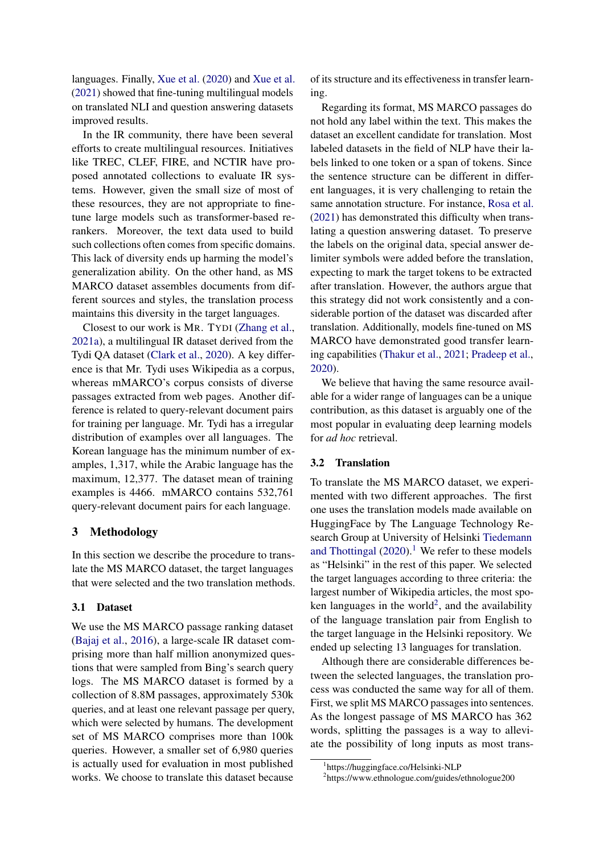languages. Finally, [Xue et al.](#page-9-5) [\(2020\)](#page-9-5) and [Xue et al.](#page-9-7) [\(2021\)](#page-9-7) showed that fine-tuning multilingual models on translated NLI and question answering datasets improved results.

In the IR community, there have been several efforts to create multilingual resources. Initiatives like TREC, CLEF, FIRE, and NCTIR have proposed annotated collections to evaluate IR systems. However, given the small size of most of these resources, they are not appropriate to finetune large models such as transformer-based rerankers. Moreover, the text data used to build such collections often comes from specific domains. This lack of diversity ends up harming the model's generalization ability. On the other hand, as MS MARCO dataset assembles documents from different sources and styles, the translation process maintains this diversity in the target languages.

Closest to our work is MR. TYDI [\(Zhang et al.,](#page-9-8) [2021a\)](#page-9-8), a multilingual IR dataset derived from the Tydi QA dataset [\(Clark et al.,](#page-7-18) [2020\)](#page-7-18). A key difference is that Mr. Tydi uses Wikipedia as a corpus, whereas mMARCO's corpus consists of diverse passages extracted from web pages. Another difference is related to query-relevant document pairs for training per language. Mr. Tydi has a irregular distribution of examples over all languages. The Korean language has the minimum number of examples, 1,317, while the Arabic language has the maximum, 12,377. The dataset mean of training examples is 4466. mMARCO contains 532,761 query-relevant document pairs for each language.

## 3 Methodology

In this section we describe the procedure to translate the MS MARCO dataset, the target languages that were selected and the two translation methods.

## 3.1 Dataset

We use the MS MARCO passage ranking dataset [\(Bajaj et al.,](#page-7-19) [2016\)](#page-7-19), a large-scale IR dataset comprising more than half million anonymized questions that were sampled from Bing's search query logs. The MS MARCO dataset is formed by a collection of 8.8M passages, approximately 530k queries, and at least one relevant passage per query, which were selected by humans. The development set of MS MARCO comprises more than 100k queries. However, a smaller set of 6,980 queries is actually used for evaluation in most published works. We choose to translate this dataset because

of its structure and its effectiveness in transfer learning.

Regarding its format, MS MARCO passages do not hold any label within the text. This makes the dataset an excellent candidate for translation. Most labeled datasets in the field of NLP have their labels linked to one token or a span of tokens. Since the sentence structure can be different in different languages, it is very challenging to retain the same annotation structure. For instance, [Rosa et al.](#page-8-13) [\(2021\)](#page-8-13) has demonstrated this difficulty when translating a question answering dataset. To preserve the labels on the original data, special answer delimiter symbols were added before the translation, expecting to mark the target tokens to be extracted after translation. However, the authors argue that this strategy did not work consistently and a considerable portion of the dataset was discarded after translation. Additionally, models fine-tuned on MS MARCO have demonstrated good transfer learning capabilities [\(Thakur et al.,](#page-8-6) [2021;](#page-8-6) [Pradeep et al.,](#page-8-14) [2020\)](#page-8-14).

We believe that having the same resource available for a wider range of languages can be a unique contribution, as this dataset is arguably one of the most popular in evaluating deep learning models for *ad hoc* retrieval.

## 3.2 Translation

To translate the MS MARCO dataset, we experimented with two different approaches. The first one uses the translation models made available on HuggingFace by The Language Technology Research Group at University of Helsinki [Tiedemann](#page-8-15) [and Thottingal](#page-8-15)  $(2020).<sup>1</sup>$  $(2020).<sup>1</sup>$  $(2020).<sup>1</sup>$  $(2020).<sup>1</sup>$  We refer to these models as "Helsinki" in the rest of this paper. We selected the target languages according to three criteria: the largest number of Wikipedia articles, the most spo-ken languages in the world<sup>[2](#page-2-1)</sup>, and the availability of the language translation pair from English to the target language in the Helsinki repository. We ended up selecting 13 languages for translation.

Although there are considerable differences between the selected languages, the translation process was conducted the same way for all of them. First, we split MS MARCO passages into sentences. As the longest passage of MS MARCO has 362 words, splitting the passages is a way to alleviate the possibility of long inputs as most trans-

<span id="page-2-0"></span><sup>1</sup> https://huggingface.co/Helsinki-NLP

<span id="page-2-1"></span><sup>2</sup> https://www.ethnologue.com/guides/ethnologue200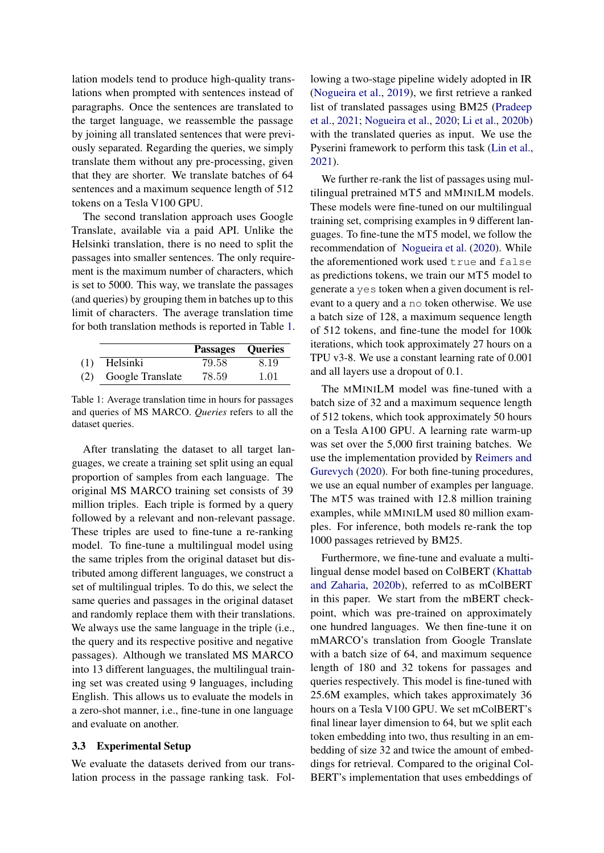lation models tend to produce high-quality translations when prompted with sentences instead of paragraphs. Once the sentences are translated to the target language, we reassemble the passage by joining all translated sentences that were previously separated. Regarding the queries, we simply translate them without any pre-processing, given that they are shorter. We translate batches of 64 sentences and a maximum sequence length of 512 tokens on a Tesla V100 GPU.

The second translation approach uses Google Translate, available via a paid API. Unlike the Helsinki translation, there is no need to split the passages into smaller sentences. The only requirement is the maximum number of characters, which is set to 5000. This way, we translate the passages (and queries) by grouping them in batches up to this limit of characters. The average translation time for both translation methods is reported in Table [1.](#page-3-0)

<span id="page-3-0"></span>

|     |                  | <b>Passages Queries</b> |      |
|-----|------------------|-------------------------|------|
| (1) | Helsinki         | 79.58                   | 8.19 |
| (2) | Google Translate | 78.59                   | 1.01 |

Table 1: Average translation time in hours for passages and queries of MS MARCO. *Queries* refers to all the dataset queries.

After translating the dataset to all target languages, we create a training set split using an equal proportion of samples from each language. The original MS MARCO training set consists of 39 million triples. Each triple is formed by a query followed by a relevant and non-relevant passage. These triples are used to fine-tune a re-ranking model. To fine-tune a multilingual model using the same triples from the original dataset but distributed among different languages, we construct a set of multilingual triples. To do this, we select the same queries and passages in the original dataset and randomly replace them with their translations. We always use the same language in the triple (i.e., the query and its respective positive and negative passages). Although we translated MS MARCO into 13 different languages, the multilingual training set was created using 9 languages, including English. This allows us to evaluate the models in a zero-shot manner, i.e., fine-tune in one language and evaluate on another.

#### 3.3 Experimental Setup

We evaluate the datasets derived from our translation process in the passage ranking task. Following a two-stage pipeline widely adopted in IR [\(Nogueira et al.,](#page-8-3) [2019\)](#page-8-3), we first retrieve a ranked list of translated passages using BM25 [\(Pradeep](#page-8-16) [et al.,](#page-8-16) [2021;](#page-8-16) [Nogueira et al.,](#page-8-2) [2020;](#page-8-2) [Li et al.,](#page-8-17) [2020b\)](#page-8-17) with the translated queries as input. We use the Pyserini framework to perform this task [\(Lin et al.,](#page-8-18) [2021\)](#page-8-18).

We further re-rank the list of passages using multilingual pretrained MT5 and MMINILM models. These models were fine-tuned on our multilingual training set, comprising examples in 9 different languages. To fine-tune the MT5 model, we follow the recommendation of [Nogueira et al.](#page-8-2) [\(2020\)](#page-8-2). While the aforementioned work used true and false as predictions tokens, we train our MT5 model to generate a yes token when a given document is relevant to a query and a no token otherwise. We use a batch size of 128, a maximum sequence length of 512 tokens, and fine-tune the model for 100k iterations, which took approximately 27 hours on a TPU v3-8. We use a constant learning rate of 0.001 and all layers use a dropout of 0.1.

The MMINILM model was fine-tuned with a batch size of 32 and a maximum sequence length of 512 tokens, which took approximately 50 hours on a Tesla A100 GPU. A learning rate warm-up was set over the 5,000 first training batches. We use the implementation provided by [Reimers and](#page-8-19) [Gurevych](#page-8-19) [\(2020\)](#page-8-19). For both fine-tuning procedures, we use an equal number of examples per language. The MT5 was trained with 12.8 million training examples, while MMINILM used 80 million examples. For inference, both models re-rank the top 1000 passages retrieved by BM25.

Furthermore, we fine-tune and evaluate a multilingual dense model based on ColBERT [\(Khattab](#page-8-20) [and Zaharia,](#page-8-20) [2020b\)](#page-8-20), referred to as mColBERT in this paper. We start from the mBERT checkpoint, which was pre-trained on approximately one hundred languages. We then fine-tune it on mMARCO's translation from Google Translate with a batch size of 64, and maximum sequence length of 180 and 32 tokens for passages and queries respectively. This model is fine-tuned with 25.6M examples, which takes approximately 36 hours on a Tesla V100 GPU. We set mColBERT's final linear layer dimension to 64, but we split each token embedding into two, thus resulting in an embedding of size 32 and twice the amount of embeddings for retrieval. Compared to the original Col-BERT's implementation that uses embeddings of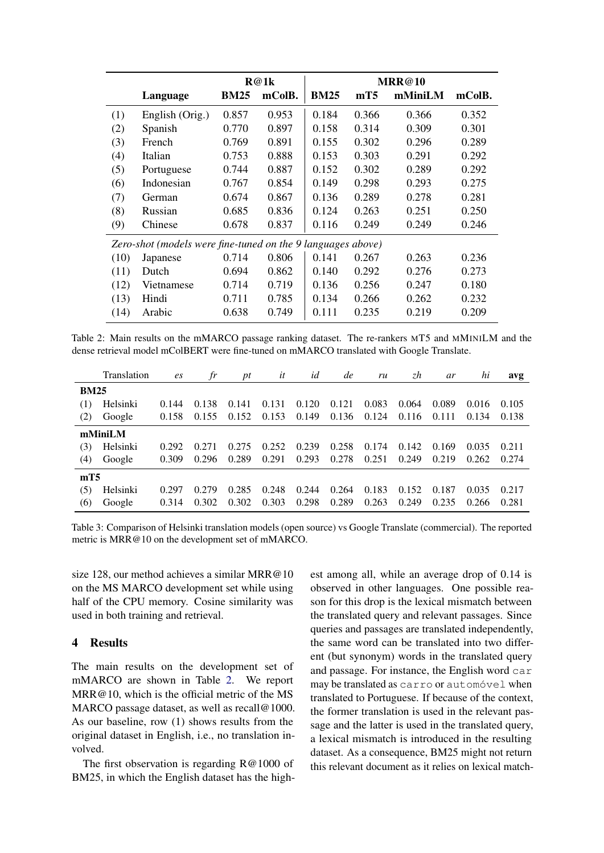<span id="page-4-0"></span>

|                                                             |                 |             | R@1k   |             |                 |         |        |  |  |
|-------------------------------------------------------------|-----------------|-------------|--------|-------------|-----------------|---------|--------|--|--|
|                                                             | Language        | <b>BM25</b> | mColB. | <b>BM25</b> | mT <sub>5</sub> | mMiniLM | mColB. |  |  |
| (1)                                                         | English (Orig.) | 0.857       | 0.953  | 0.184       | 0.366           | 0.366   | 0.352  |  |  |
| (2)                                                         | Spanish         | 0.770       | 0.897  | 0.158       | 0.314           | 0.309   | 0.301  |  |  |
| (3)                                                         | French          | 0.769       | 0.891  | 0.155       | 0.302           | 0.296   | 0.289  |  |  |
| (4)                                                         | Italian         | 0.753       | 0.888  | 0.153       | 0.303           | 0.291   | 0.292  |  |  |
| (5)                                                         | Portuguese      | 0.744       | 0.887  | 0.152       | 0.302           | 0.289   | 0.292  |  |  |
| (6)                                                         | Indonesian      | 0.767       | 0.854  | 0.149       | 0.298           | 0.293   | 0.275  |  |  |
| (7)                                                         | German          | 0.674       | 0.867  | 0.136       | 0.289           | 0.278   | 0.281  |  |  |
| (8)                                                         | Russian         | 0.685       | 0.836  | 0.124       | 0.263           | 0.251   | 0.250  |  |  |
| (9)                                                         | Chinese         | 0.678       | 0.837  | 0.116       | 0.249           | 0.249   | 0.246  |  |  |
| Zero-shot (models were fine-tuned on the 9 languages above) |                 |             |        |             |                 |         |        |  |  |
| (10)                                                        | Japanese        | 0.714       | 0.806  | 0.141       | 0.267           | 0.263   | 0.236  |  |  |
| (11)                                                        | Dutch           | 0.694       | 0.862  | 0.140       | 0.292           | 0.276   | 0.273  |  |  |
| (12)                                                        | Vietnamese      | 0.714       | 0.719  | 0.136       | 0.256           | 0.247   | 0.180  |  |  |
| (13)                                                        | Hindi           | 0.711       | 0.785  | 0.134       | 0.266           | 0.262   | 0.232  |  |  |
| (14)                                                        | Arabic          | 0.638       | 0.749  | 0.111       | 0.235           | 0.219   | 0.209  |  |  |

Table 2: Main results on the mMARCO passage ranking dataset. The re-rankers MT5 and MMINILM and the dense retrieval model mColBERT were fine-tuned on mMARCO translated with Google Translate.

<span id="page-4-1"></span>

|                 | Translation | es    | fr    | pt    | it    | id    | de    | ru    | zh    | ar    | hi    | avg   |
|-----------------|-------------|-------|-------|-------|-------|-------|-------|-------|-------|-------|-------|-------|
| <b>BM25</b>     |             |       |       |       |       |       |       |       |       |       |       |       |
| (1)             | Helsinki    | 0.144 | 0.138 | 0.141 | 0.131 | 0.120 | 0.121 | 0.083 | 0.064 | 0.089 | 0.016 | 0.105 |
| (2)             | Google      | 0.158 | 0.155 | 0.152 | 0.153 | 0.149 | 0.136 | 0.124 | 0.116 | 0.111 | 0.134 | 0.138 |
| mMiniLM         |             |       |       |       |       |       |       |       |       |       |       |       |
| (3)             | Helsinki    | 0.292 | 0.271 | 0.275 | 0.252 | 0.239 | 0.258 | 0.174 | 0.142 | 0.169 | 0.035 | 0.211 |
| (4)             | Google      | 0.309 | 0.296 | 0.289 | 0.291 | 0.293 | 0.278 | 0.251 | 0.249 | 0.219 | 0.262 | 0.274 |
| mT <sub>5</sub> |             |       |       |       |       |       |       |       |       |       |       |       |
| (5)             | Helsinki    | 0.297 | 0.279 | 0.285 | 0.248 | 0.244 | 0.264 | 0.183 | 0.152 | 0.187 | 0.035 | 0.217 |
| (6)             | Google      | 0.314 | 0.302 | 0.302 | 0.303 | 0.298 | 0.289 | 0.263 | 0.249 | 0.235 | 0.266 | 0.281 |

Table 3: Comparison of Helsinki translation models (open source) vs Google Translate (commercial). The reported metric is MRR@10 on the development set of mMARCO.

size 128, our method achieves a similar MRR@10 on the MS MARCO development set while using half of the CPU memory. Cosine similarity was used in both training and retrieval.

## <span id="page-4-2"></span>4 Results

The main results on the development set of mMARCO are shown in Table [2.](#page-4-0) We report MRR@10, which is the official metric of the MS MARCO passage dataset, as well as recall@1000. As our baseline, row (1) shows results from the original dataset in English, i.e., no translation involved.

The first observation is regarding R@1000 of BM25, in which the English dataset has the highest among all, while an average drop of 0.14 is observed in other languages. One possible reason for this drop is the lexical mismatch between the translated query and relevant passages. Since queries and passages are translated independently, the same word can be translated into two different (but synonym) words in the translated query and passage. For instance, the English word car may be translated as carro or automóvel when translated to Portuguese. If because of the context, the former translation is used in the relevant passage and the latter is used in the translated query, a lexical mismatch is introduced in the resulting dataset. As a consequence, BM25 might not return this relevant document as it relies on lexical match-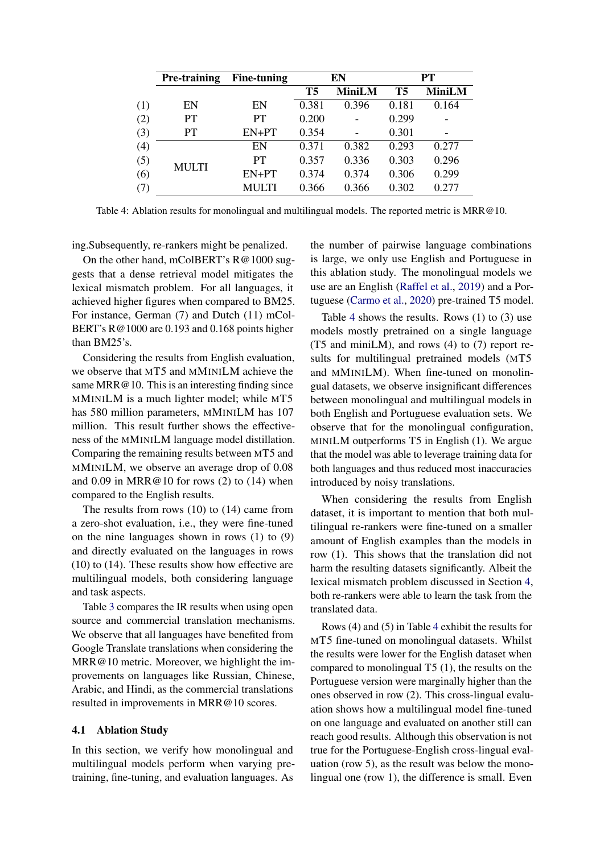<span id="page-5-0"></span>

|     | Pre-training | <b>Fine-tuning</b> |       | EN            | PT    |               |  |
|-----|--------------|--------------------|-------|---------------|-------|---------------|--|
|     |              |                    | T5    | <b>MiniLM</b> | T5    | <b>MiniLM</b> |  |
| (1) | EN           | EN                 | 0.381 | 0.396         | 0.181 | 0.164         |  |
| (2) | <b>PT</b>    | PT                 | 0.200 |               | 0.299 |               |  |
| (3) | PT           | EN+PT              | 0.354 |               | 0.301 |               |  |
| (4) |              | EN                 | 0.371 | 0.382         | 0.293 | 0.277         |  |
| (5) | <b>MULTI</b> | PT                 | 0.357 | 0.336         | 0.303 | 0.296         |  |
| (6) |              | $EN+PT$            | 0.374 | 0.374         | 0.306 | 0.299         |  |
| (7) |              | MULTI              | 0.366 | 0.366         | 0.302 | 0.277         |  |

Table 4: Ablation results for monolingual and multilingual models. The reported metric is MRR@10.

ing.Subsequently, re-rankers might be penalized.

On the other hand, mColBERT's R@1000 suggests that a dense retrieval model mitigates the lexical mismatch problem. For all languages, it achieved higher figures when compared to BM25. For instance, German (7) and Dutch (11) mCol-BERT's R@1000 are 0.193 and 0.168 points higher than BM25's.

Considering the results from English evaluation, we observe that MT5 and MMINILM achieve the same MRR@10. This is an interesting finding since MMINILM is a much lighter model; while MT5 has 580 million parameters, MMINILM has 107 million. This result further shows the effectiveness of the MMINILM language model distillation. Comparing the remaining results between MT5 and MMINILM, we observe an average drop of 0.08 and  $0.09$  in MRR@10 for rows  $(2)$  to  $(14)$  when compared to the English results.

The results from rows (10) to (14) came from a zero-shot evaluation, i.e., they were fine-tuned on the nine languages shown in rows (1) to (9) and directly evaluated on the languages in rows (10) to (14). These results show how effective are multilingual models, both considering language and task aspects.

Table [3](#page-4-1) compares the IR results when using open source and commercial translation mechanisms. We observe that all languages have benefited from Google Translate translations when considering the MRR@10 metric. Moreover, we highlight the improvements on languages like Russian, Chinese, Arabic, and Hindi, as the commercial translations resulted in improvements in MRR@10 scores.

## 4.1 Ablation Study

In this section, we verify how monolingual and multilingual models perform when varying pretraining, fine-tuning, and evaluation languages. As

the number of pairwise language combinations is large, we only use English and Portuguese in this ablation study. The monolingual models we use are an English [\(Raffel et al.,](#page-8-21) [2019\)](#page-8-21) and a Portuguese [\(Carmo et al.,](#page-7-20) [2020\)](#page-7-20) pre-trained T5 model.

Table [4](#page-5-0) shows the results. Rows (1) to (3) use models mostly pretrained on a single language (T5 and miniLM), and rows (4) to (7) report results for multilingual pretrained models (MT5 and MMINILM). When fine-tuned on monolingual datasets, we observe insignificant differences between monolingual and multilingual models in both English and Portuguese evaluation sets. We observe that for the monolingual configuration, MINILM outperforms T5 in English (1). We argue that the model was able to leverage training data for both languages and thus reduced most inaccuracies introduced by noisy translations.

When considering the results from English dataset, it is important to mention that both multilingual re-rankers were fine-tuned on a smaller amount of English examples than the models in row (1). This shows that the translation did not harm the resulting datasets significantly. Albeit the lexical mismatch problem discussed in Section [4,](#page-4-2) both re-rankers were able to learn the task from the translated data.

Rows (4) and (5) in Table [4](#page-5-0) exhibit the results for MT5 fine-tuned on monolingual datasets. Whilst the results were lower for the English dataset when compared to monolingual T5 (1), the results on the Portuguese version were marginally higher than the ones observed in row (2). This cross-lingual evaluation shows how a multilingual model fine-tuned on one language and evaluated on another still can reach good results. Although this observation is not true for the Portuguese-English cross-lingual evaluation (row 5), as the result was below the monolingual one (row 1), the difference is small. Even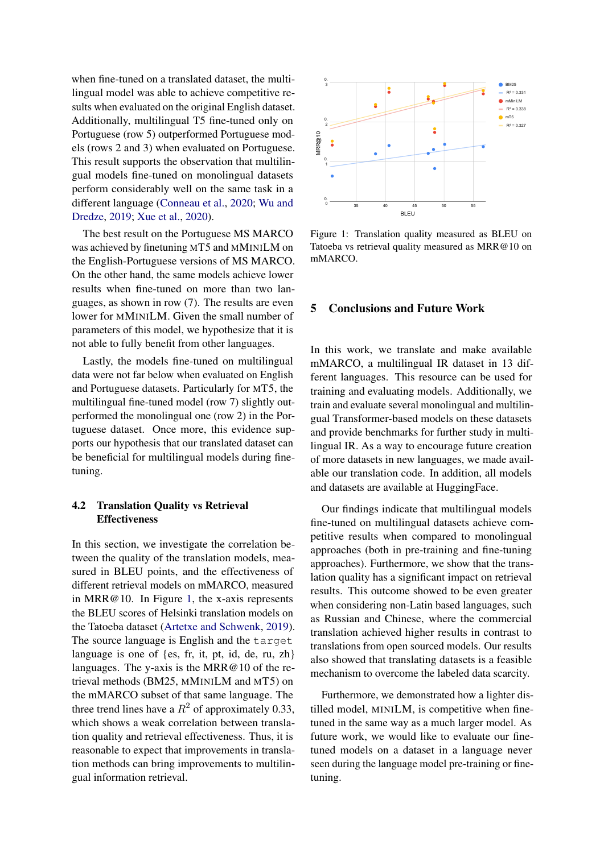when fine-tuned on a translated dataset, the multilingual model was able to achieve competitive results when evaluated on the original English dataset. Additionally, multilingual T5 fine-tuned only on Portuguese (row 5) outperformed Portuguese models (rows 2 and 3) when evaluated on Portuguese. This result supports the observation that multilingual models fine-tuned on monolingual datasets perform considerably well on the same task in a different language [\(Conneau et al.,](#page-7-3) [2020;](#page-7-3) [Wu and](#page-9-4) [Dredze,](#page-9-4) [2019;](#page-9-4) [Xue et al.,](#page-9-5) [2020\)](#page-9-5).

The best result on the Portuguese MS MARCO was achieved by finetuning MT5 and MMINILM on the English-Portuguese versions of MS MARCO. On the other hand, the same models achieve lower results when fine-tuned on more than two languages, as shown in row (7). The results are even lower for MMINILM. Given the small number of parameters of this model, we hypothesize that it is not able to fully benefit from other languages.

Lastly, the models fine-tuned on multilingual data were not far below when evaluated on English and Portuguese datasets. Particularly for MT5, the multilingual fine-tuned model (row 7) slightly outperformed the monolingual one (row 2) in the Portuguese dataset. Once more, this evidence supports our hypothesis that our translated dataset can be beneficial for multilingual models during finetuning.

## 4.2 Translation Quality vs Retrieval Effectiveness

In this section, we investigate the correlation between the quality of the translation models, measured in BLEU points, and the effectiveness of different retrieval models on mMARCO, measured in MRR@10. In Figure [1,](#page-6-0) the x-axis represents the BLEU scores of Helsinki translation models on the Tatoeba dataset [\(Artetxe and Schwenk,](#page-7-21) [2019\)](#page-7-21). The source language is English and the target language is one of {es, fr, it, pt, id, de, ru, zh} languages. The y-axis is the MRR@10 of the retrieval methods (BM25, MMINILM and MT5) on the mMARCO subset of that same language. The three trend lines have a  $R^2$  of approximately 0.33, which shows a weak correlation between translation quality and retrieval effectiveness. Thus, it is reasonable to expect that improvements in translation methods can bring improvements to multilingual information retrieval.

<span id="page-6-0"></span>

Figure 1: Translation quality measured as BLEU on Tatoeba vs retrieval quality measured as MRR@10 on mMARCO.

## 5 Conclusions and Future Work

In this work, we translate and make available mMARCO, a multilingual IR dataset in 13 different languages. This resource can be used for training and evaluating models. Additionally, we train and evaluate several monolingual and multilingual Transformer-based models on these datasets and provide benchmarks for further study in multilingual IR. As a way to encourage future creation of more datasets in new languages, we made available our translation code. In addition, all models and datasets are available at HuggingFace.

Our findings indicate that multilingual models fine-tuned on multilingual datasets achieve competitive results when compared to monolingual approaches (both in pre-training and fine-tuning approaches). Furthermore, we show that the translation quality has a significant impact on retrieval results. This outcome showed to be even greater when considering non-Latin based languages, such as Russian and Chinese, where the commercial translation achieved higher results in contrast to translations from open sourced models. Our results also showed that translating datasets is a feasible mechanism to overcome the labeled data scarcity.

Furthermore, we demonstrated how a lighter distilled model, MINILM, is competitive when finetuned in the same way as a much larger model. As future work, we would like to evaluate our finetuned models on a dataset in a language never seen during the language model pre-training or finetuning.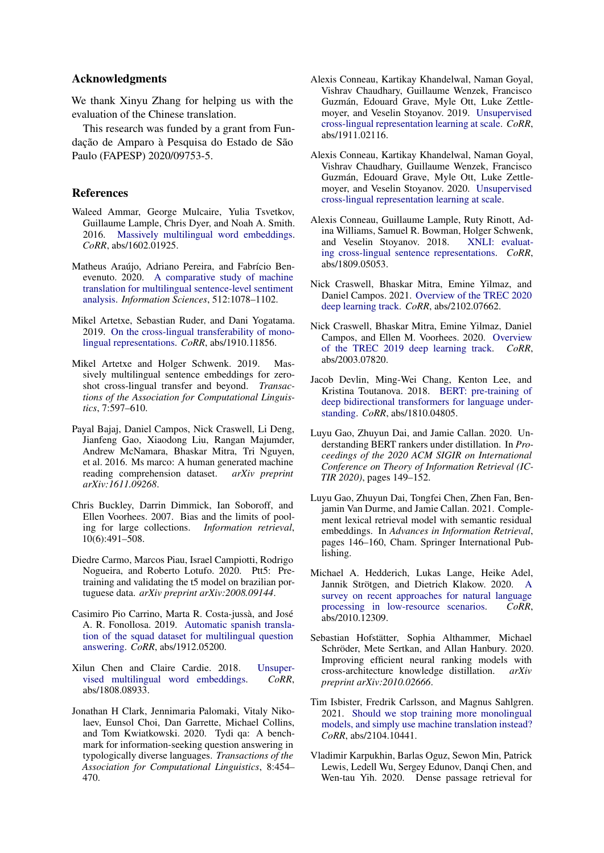## Acknowledgments

We thank Xinyu Zhang for helping us with the evaluation of the Chinese translation.

This research was funded by a grant from Fundação de Amparo à Pesquisa do Estado de São Paulo (FAPESP) 2020/09753-5.

## References

- <span id="page-7-9"></span>Waleed Ammar, George Mulcaire, Yulia Tsvetkov, Guillaume Lample, Chris Dyer, and Noah A. Smith. 2016. [Massively multilingual word embeddings.](http://arxiv.org/abs/1602.01925) *CoRR*, abs/1602.01925.
- <span id="page-7-15"></span>Matheus Araújo, Adriano Pereira, and Fabrício Benevenuto. 2020. [A comparative study of machine](https://doi.org/https://doi.org/10.1016/j.ins.2019.10.031) [translation for multilingual sentence-level sentiment](https://doi.org/https://doi.org/10.1016/j.ins.2019.10.031) [analysis.](https://doi.org/https://doi.org/10.1016/j.ins.2019.10.031) *Information Sciences*, 512:1078–1102.
- <span id="page-7-16"></span>Mikel Artetxe, Sebastian Ruder, and Dani Yogatama. 2019. [On the cross-lingual transferability of mono](http://arxiv.org/abs/1910.11856)[lingual representations.](http://arxiv.org/abs/1910.11856) *CoRR*, abs/1910.11856.
- <span id="page-7-21"></span>Mikel Artetxe and Holger Schwenk. 2019. Massively multilingual sentence embeddings for zeroshot cross-lingual transfer and beyond. *Transactions of the Association for Computational Linguistics*, 7:597–610.
- <span id="page-7-19"></span>Payal Bajaj, Daniel Campos, Nick Craswell, Li Deng, Jianfeng Gao, Xiaodong Liu, Rangan Majumder, Andrew McNamara, Bhaskar Mitra, Tri Nguyen, et al. 2016. Ms marco: A human generated machine reading comprehension dataset. *arXiv preprint arXiv:1611.09268*.
- <span id="page-7-2"></span>Chris Buckley, Darrin Dimmick, Ian Soboroff, and Ellen Voorhees. 2007. Bias and the limits of pooling for large collections. *Information retrieval*, 10(6):491–508.
- <span id="page-7-20"></span>Diedre Carmo, Marcos Piau, Israel Campiotti, Rodrigo Nogueira, and Roberto Lotufo. 2020. Ptt5: Pretraining and validating the t5 model on brazilian portuguese data. *arXiv preprint arXiv:2008.09144*.
- <span id="page-7-14"></span>Casimiro Pio Carrino, Marta R. Costa-jussà, and José A. R. Fonollosa. 2019. [Automatic spanish transla](http://arxiv.org/abs/1912.05200)[tion of the squad dataset for multilingual question](http://arxiv.org/abs/1912.05200) [answering.](http://arxiv.org/abs/1912.05200) *CoRR*, abs/1912.05200.
- <span id="page-7-10"></span>Xilun Chen and Claire Cardie. 2018. [Unsuper](http://arxiv.org/abs/1808.08933)[vised multilingual word embeddings.](http://arxiv.org/abs/1808.08933) *CoRR*, abs/1808.08933.
- <span id="page-7-18"></span>Jonathan H Clark, Jennimaria Palomaki, Vitaly Nikolaev, Eunsol Choi, Dan Garrette, Michael Collins, and Tom Kwiatkowski. 2020. Tydi qa: A benchmark for information-seeking question answering in typologically diverse languages. *Transactions of the Association for Computational Linguistics*, 8:454– 470.
- <span id="page-7-12"></span>Alexis Conneau, Kartikay Khandelwal, Naman Goyal, Vishrav Chaudhary, Guillaume Wenzek, Francisco Guzmán, Edouard Grave, Myle Ott, Luke Zettlemoyer, and Veselin Stoyanov. 2019. [Unsupervised](http://arxiv.org/abs/1911.02116) [cross-lingual representation learning at scale.](http://arxiv.org/abs/1911.02116) *CoRR*, abs/1911.02116.
- <span id="page-7-3"></span>Alexis Conneau, Kartikay Khandelwal, Naman Goyal, Vishrav Chaudhary, Guillaume Wenzek, Francisco Guzmán, Edouard Grave, Myle Ott, Luke Zettlemoyer, and Veselin Stoyanov. 2020. [Unsupervised](http://arxiv.org/abs/1911.02116) [cross-lingual representation learning at scale.](http://arxiv.org/abs/1911.02116)
- <span id="page-7-17"></span>Alexis Conneau, Guillaume Lample, Ruty Rinott, Adina Williams, Samuel R. Bowman, Holger Schwenk, and Veselin Stoyanov. 2018. [XNLI: evaluat](http://arxiv.org/abs/1809.05053)[ing cross-lingual sentence representations.](http://arxiv.org/abs/1809.05053) *CoRR*, abs/1809.05053.
- <span id="page-7-6"></span>Nick Craswell, Bhaskar Mitra, Emine Yilmaz, and Daniel Campos. 2021. [Overview of the TREC 2020](http://arxiv.org/abs/2102.07662) [deep learning track.](http://arxiv.org/abs/2102.07662) *CoRR*, abs/2102.07662.
- <span id="page-7-5"></span>Nick Craswell, Bhaskar Mitra, Emine Yilmaz, Daniel Campos, and Ellen M. Voorhees. 2020. [Overview](http://arxiv.org/abs/2003.07820) [of the TREC 2019 deep learning track.](http://arxiv.org/abs/2003.07820) *CoRR*, abs/2003.07820.
- <span id="page-7-11"></span>Jacob Devlin, Ming-Wei Chang, Kenton Lee, and Kristina Toutanova. 2018. [BERT: pre-training of](http://arxiv.org/abs/1810.04805) [deep bidirectional transformers for language under](http://arxiv.org/abs/1810.04805)[standing.](http://arxiv.org/abs/1810.04805) *CoRR*, abs/1810.04805.
- <span id="page-7-7"></span>Luyu Gao, Zhuyun Dai, and Jamie Callan. 2020. Understanding BERT rankers under distillation. In *Proceedings of the 2020 ACM SIGIR on International Conference on Theory of Information Retrieval (IC-TIR 2020)*, pages 149–152.
- <span id="page-7-1"></span>Luyu Gao, Zhuyun Dai, Tongfei Chen, Zhen Fan, Benjamin Van Durme, and Jamie Callan. 2021. Complement lexical retrieval model with semantic residual embeddings. In *Advances in Information Retrieval*, pages 146–160, Cham. Springer International Publishing.
- <span id="page-7-4"></span>Michael A. Hedderich, Lukas Lange, Heike Adel, Jannik Strötgen, and Dietrich Klakow. 2020. [A](http://arxiv.org/abs/2010.12309) [survey on recent approaches for natural language](http://arxiv.org/abs/2010.12309) [processing in low-resource scenarios.](http://arxiv.org/abs/2010.12309) *CoRR*, abs/2010.12309.
- <span id="page-7-8"></span>Sebastian Hofstätter, Sophia Althammer, Michael Schröder, Mete Sertkan, and Allan Hanbury. 2020. Improving efficient neural ranking models with cross-architecture knowledge distillation. *arXiv preprint arXiv:2010.02666*.
- <span id="page-7-13"></span>Tim Isbister, Fredrik Carlsson, and Magnus Sahlgren. 2021. [Should we stop training more monolingual](http://arxiv.org/abs/2104.10441) [models, and simply use machine translation instead?](http://arxiv.org/abs/2104.10441) *CoRR*, abs/2104.10441.
- <span id="page-7-0"></span>Vladimir Karpukhin, Barlas Oguz, Sewon Min, Patrick Lewis, Ledell Wu, Sergey Edunov, Danqi Chen, and Wen-tau Yih. 2020. Dense passage retrieval for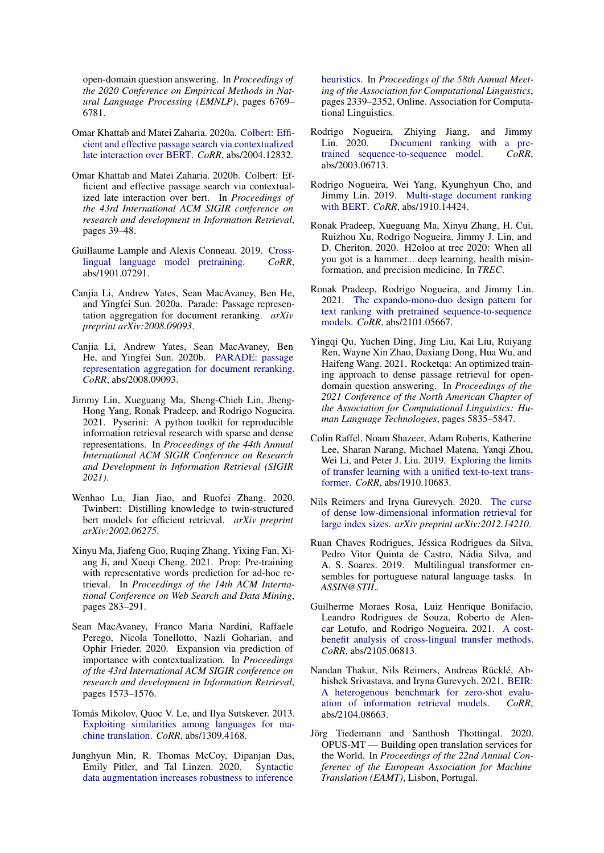open-domain question answering. In *Proceedings of the 2020 Conference on Empirical Methods in Natural Language Processing (EMNLP)*, pages 6769– 6781.

- <span id="page-8-0"></span>Omar Khattab and Matei Zaharia. 2020a. [Colbert: Effi](http://arxiv.org/abs/2004.12832)[cient and effective passage search via contextualized](http://arxiv.org/abs/2004.12832) [late interaction over BERT.](http://arxiv.org/abs/2004.12832) *CoRR*, abs/2004.12832.
- <span id="page-8-20"></span>Omar Khattab and Matei Zaharia. 2020b. Colbert: Efficient and effective passage search via contextualized late interaction over bert. In *Proceedings of the 43rd International ACM SIGIR conference on research and development in Information Retrieval*, pages 39–48.
- <span id="page-8-11"></span>Guillaume Lample and Alexis Conneau. 2019. [Cross](http://arxiv.org/abs/1901.07291)[lingual language model pretraining.](http://arxiv.org/abs/1901.07291) *CoRR*, abs/1901.07291.
- <span id="page-8-8"></span>Canjia Li, Andrew Yates, Sean MacAvaney, Ben He, and Yingfei Sun. 2020a. Parade: Passage representation aggregation for document reranking. *arXiv preprint arXiv:2008.09093*.
- <span id="page-8-17"></span>Canjia Li, Andrew Yates, Sean MacAvaney, Ben He, and Yingfei Sun. 2020b. [PARADE: passage](http://arxiv.org/abs/2008.09093) [representation aggregation for document reranking.](http://arxiv.org/abs/2008.09093) *CoRR*, abs/2008.09093.
- <span id="page-8-18"></span>Jimmy Lin, Xueguang Ma, Sheng-Chieh Lin, Jheng-Hong Yang, Ronak Pradeep, and Rodrigo Nogueira. 2021. Pyserini: A python toolkit for reproducible information retrieval research with sparse and dense representations. In *Proceedings of the 44th Annual International ACM SIGIR Conference on Research and Development in Information Retrieval (SIGIR 2021)*.
- <span id="page-8-9"></span>Wenhao Lu, Jian Jiao, and Ruofei Zhang. 2020. Twinbert: Distilling knowledge to twin-structured bert models for efficient retrieval. *arXiv preprint arXiv:2002.06275*.
- <span id="page-8-5"></span>Xinyu Ma, Jiafeng Guo, Ruqing Zhang, Yixing Fan, Xiang Ji, and Xueqi Cheng. 2021. Prop: Pre-training with representative words prediction for ad-hoc retrieval. In *Proceedings of the 14th ACM International Conference on Web Search and Data Mining*, pages 283–291.
- <span id="page-8-1"></span>Sean MacAvaney, Franco Maria Nardini, Raffaele Perego, Nicola Tonellotto, Nazli Goharian, and Ophir Frieder. 2020. Expansion via prediction of importance with contextualization. In *Proceedings of the 43rd International ACM SIGIR conference on research and development in Information Retrieval*, pages 1573–1576.
- <span id="page-8-10"></span>Tomás Mikolov, Quoc V. Le, and Ilya Sutskever. 2013. [Exploiting similarities among languages for ma](http://arxiv.org/abs/1309.4168)[chine translation.](http://arxiv.org/abs/1309.4168) *CoRR*, abs/1309.4168.
- <span id="page-8-7"></span>Junghyun Min, R. Thomas McCoy, Dipanjan Das, Emily Pitler, and Tal Linzen. 2020. [Syntactic](https://doi.org/10.18653/v1/2020.acl-main.212) [data augmentation increases robustness to inference](https://doi.org/10.18653/v1/2020.acl-main.212)

[heuristics.](https://doi.org/10.18653/v1/2020.acl-main.212) In *Proceedings of the 58th Annual Meeting of the Association for Computational Linguistics*, pages 2339–2352, Online. Association for Computational Linguistics.

- <span id="page-8-2"></span>Rodrigo Nogueira, Zhiying Jiang, and Jimmy Lin. 2020. Document ranking with a pre-<br>trained sequence-to-sequence model. CoRR. [trained sequence-to-sequence model.](http://arxiv.org/abs/2003.06713) abs/2003.06713.
- <span id="page-8-3"></span>Rodrigo Nogueira, Wei Yang, Kyunghyun Cho, and Jimmy Lin. 2019. [Multi-stage document ranking](http://arxiv.org/abs/1910.14424) [with BERT.](http://arxiv.org/abs/1910.14424) *CoRR*, abs/1910.14424.
- <span id="page-8-14"></span>Ronak Pradeep, Xueguang Ma, Xinyu Zhang, H. Cui, Ruizhou Xu, Rodrigo Nogueira, Jimmy J. Lin, and D. Cheriton. 2020. H2oloo at trec 2020: When all you got is a hammer... deep learning, health misinformation, and precision medicine. In *TREC*.
- <span id="page-8-16"></span>Ronak Pradeep, Rodrigo Nogueira, and Jimmy Lin. 2021. [The expando-mono-duo design pattern for](http://arxiv.org/abs/2101.05667) [text ranking with pretrained sequence-to-sequence](http://arxiv.org/abs/2101.05667) [models.](http://arxiv.org/abs/2101.05667) *CoRR*, abs/2101.05667.
- <span id="page-8-4"></span>Yingqi Qu, Yuchen Ding, Jing Liu, Kai Liu, Ruiyang Ren, Wayne Xin Zhao, Daxiang Dong, Hua Wu, and Haifeng Wang. 2021. Rocketqa: An optimized training approach to dense passage retrieval for opendomain question answering. In *Proceedings of the 2021 Conference of the North American Chapter of the Association for Computational Linguistics: Human Language Technologies*, pages 5835–5847.
- <span id="page-8-21"></span>Colin Raffel, Noam Shazeer, Adam Roberts, Katherine Lee, Sharan Narang, Michael Matena, Yanqi Zhou, Wei Li, and Peter J. Liu. 2019. [Exploring the limits](http://arxiv.org/abs/1910.10683) [of transfer learning with a unified text-to-text trans](http://arxiv.org/abs/1910.10683)[former.](http://arxiv.org/abs/1910.10683) *CoRR*, abs/1910.10683.
- <span id="page-8-19"></span>Nils Reimers and Iryna Gurevych. 2020. [The curse](https://arxiv.org/abs/2012.14210) [of dense low-dimensional information retrieval for](https://arxiv.org/abs/2012.14210) [large index sizes.](https://arxiv.org/abs/2012.14210) *arXiv preprint arXiv:2012.14210*.
- <span id="page-8-12"></span>Ruan Chaves Rodrigues, Jéssica Rodrigues da Silva, Pedro Vitor Quinta de Castro, Nádia Silva, and A. S. Soares. 2019. Multilingual transformer ensembles for portuguese natural language tasks. In *ASSIN@STIL*.
- <span id="page-8-13"></span>Guilherme Moraes Rosa, Luiz Henrique Bonifacio, Leandro Rodrigues de Souza, Roberto de Alencar Lotufo, and Rodrigo Nogueira. 2021. [A cost](http://arxiv.org/abs/2105.06813)[benefit analysis of cross-lingual transfer methods.](http://arxiv.org/abs/2105.06813) *CoRR*, abs/2105.06813.
- <span id="page-8-6"></span>Nandan Thakur, Nils Reimers, Andreas Rücklé, Abhishek Srivastava, and Iryna Gurevych. 2021. [BEIR:](http://arxiv.org/abs/2104.08663) [A heterogenous benchmark for zero-shot evalu](http://arxiv.org/abs/2104.08663)[ation of information retrieval models.](http://arxiv.org/abs/2104.08663) *CoRR*, abs/2104.08663.
- <span id="page-8-15"></span>Jörg Tiedemann and Santhosh Thottingal. 2020. OPUS-MT — Building open translation services for the World. In *Proceedings of the 22nd Annual Conferenec of the European Association for Machine Translation (EAMT)*, Lisbon, Portugal.